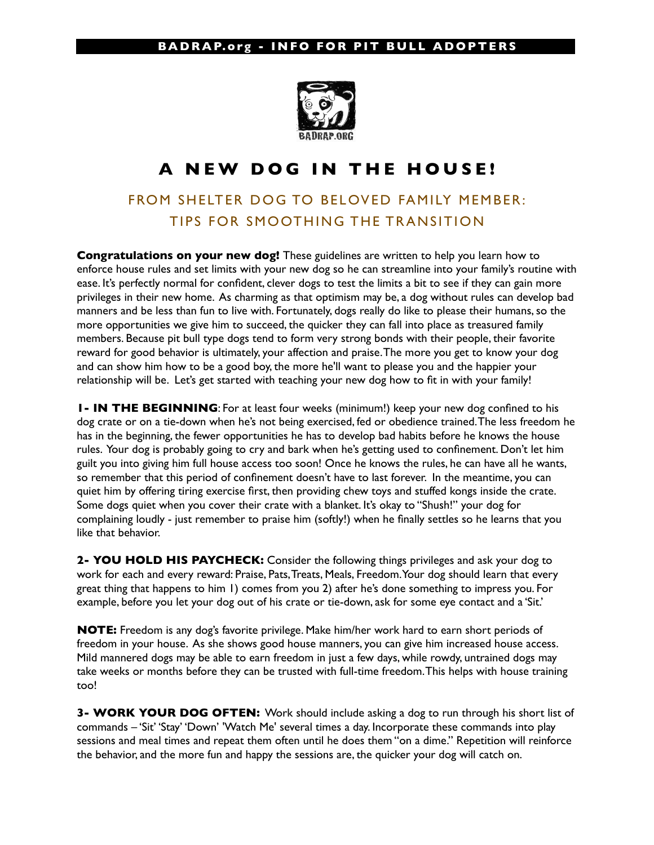## **BADRAP.org - INFO FOR PIT BULL ADOPTERS**



## **A NEW DOG IN THE HOUSE!**

## FROM SHELTER DOG TO BELOVED FAMILY MEMBER: TIPS FOR SMOOTHING THE TRANSITION

**Congratulations on your new dog!** These guidelines are written to help you learn how to enforce house rules and set limits with your new dog so he can streamline into your family's routine with ease. It's perfectly normal for confident, clever dogs to test the limits a bit to see if they can gain more privileges in their new home. As charming as that optimism may be, a dog without rules can develop bad manners and be less than fun to live with. Fortunately, dogs really do like to please their humans, so the more opportunities we give him to succeed, the quicker they can fall into place as treasured family members. Because pit bull type dogs tend to form very strong bonds with their people, their favorite reward for good behavior is ultimately, your affection and praise. The more you get to know your dog and can show him how to be a good boy, the more he'll want to please you and the happier your relationship will be. Let's get started with teaching your new dog how to fit in with your family!

**1- IN THE BEGINNING**: For at least four weeks (minimum!) keep your new dog confined to his dog crate or on a tie-down when he's not being exercised, fed or obedience trained. The less freedom he has in the beginning, the fewer opportunities he has to develop bad habits before he knows the house rules. Your dog is probably going to cry and bark when he's getting used to confinement. Don't let him guilt you into giving him full house access too soon! Once he knows the rules, he can have all he wants, so remember that this period of confinement doesn't have to last forever. In the meantime, you can quiet him by offering tiring exercise first, then providing chew toys and stuffed kongs inside the crate. Some dogs quiet when you cover their crate with a blanket. It's okay to "Shush!" your dog for complaining loudly - just remember to praise him (softly!) when he finally settles so he learns that you like that behavior.

**2- YOU HOLD HIS PAYCHECK:** Consider the following things privileges and ask your dog to work for each and every reward: Praise, Pats, Treats, Meals, Freedom. Your dog should learn that every great thing that happens to him 1) comes from you 2) after he's done something to impress you. For example, before you let your dog out of his crate or tie-down, ask for some eye contact and a 'Sit.'

**NOTE:** Freedom is any dog's favorite privilege. Make him/her work hard to earn short periods of freedom in your house. As she shows good house manners, you can give him increased house access. Mild mannered dogs may be able to earn freedom in just a few days, while rowdy, untrained dogs may take weeks or months before they can be trusted with full-time freedom. This helps with house training too!

**3- WORK YOUR DOG OFTEN:** Work should include asking a dog to run through his short list of commands – 'Sit' 'Stay' 'Down' 'Watch Me' several times a day. Incorporate these commands into play sessions and meal times and repeat them often until he does them "on a dime." Repetition will reinforce the behavior, and the more fun and happy the sessions are, the quicker your dog will catch on.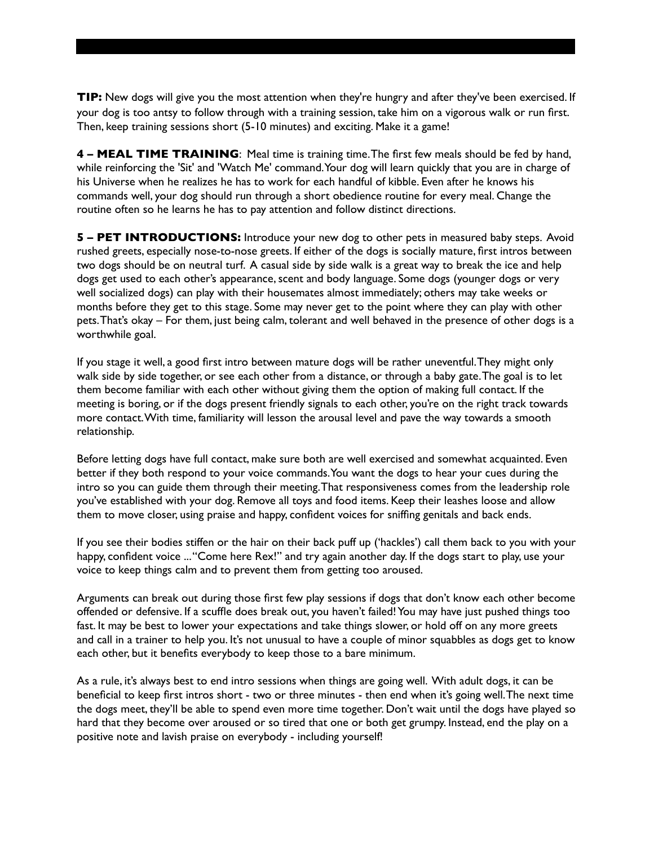**TIP:** New dogs will give you the most attention when they're hungry and after they've been exercised. If your dog is too antsy to follow through with a training session, take him on a vigorous walk or run first. Then, keep training sessions short (5-10 minutes) and exciting. Make it a game!

**4 – MEAL TIME TRAINING**: Meal time is training time. The first few meals should be fed by hand, while reinforcing the 'Sit' and 'Watch Me' command. Your dog will learn quickly that you are in charge of his Universe when he realizes he has to work for each handful of kibble. Even after he knows his commands well, your dog should run through a short obedience routine for every meal. Change the routine often so he learns he has to pay attention and follow distinct directions.

**5 – PET INTRODUCTIONS:** Introduce your new dog to other pets in measured baby steps. Avoid rushed greets, especially nose-to-nose greets. If either of the dogs is socially mature, first intros between two dogs should be on neutral turf. A casual side by side walk is a great way to break the ice and help dogs get used to each other's appearance, scent and body language. Some dogs (younger dogs or very well socialized dogs) can play with their housemates almost immediately; others may take weeks or months before they get to this stage. Some may never get to the point where they can play with other pets. That's okay – For them, just being calm, tolerant and well behaved in the presence of other dogs is a worthwhile goal.

If you stage it well, a good first intro between mature dogs will be rather uneventful. They might only walk side by side together, or see each other from a distance, or through a baby gate. The goal is to let them become familiar with each other without giving them the option of making full contact. If the meeting is boring, or if the dogs present friendly signals to each other, you're on the right track towards more contact. With time, familiarity will lesson the arousal level and pave the way towards a smooth relationship.

Before letting dogs have full contact, make sure both are well exercised and somewhat acquainted. Even better if they both respond to your voice commands. You want the dogs to hear your cues during the intro so you can guide them through their meeting. That responsiveness comes from the leadership role you've established with your dog. Remove all toys and food items. Keep their leashes loose and allow them to move closer, using praise and happy, confident voices for sniffing genitals and back ends.

If you see their bodies stiffen or the hair on their back puff up ('hackles') call them back to you with your happy, confident voice ... "Come here Rex!" and try again another day. If the dogs start to play, use your voice to keep things calm and to prevent them from getting too aroused.

Arguments can break out during those first few play sessions if dogs that don't know each other become offended or defensive. If a scuffle does break out, you haven't failed! You may have just pushed things too fast. It may be best to lower your expectations and take things slower, or hold off on any more greets and call in a trainer to help you. It's not unusual to have a couple of minor squabbles as dogs get to know each other, but it benefits everybody to keep those to a bare minimum.

As a rule, it's always best to end intro sessions when things are going well. With adult dogs, it can be beneficial to keep first intros short - two or three minutes - then end when it's going well. The next time the dogs meet, they'll be able to spend even more time together. Don't wait until the dogs have played so hard that they become over aroused or so tired that one or both get grumpy. Instead, end the play on a positive note and lavish praise on everybody - including yourself!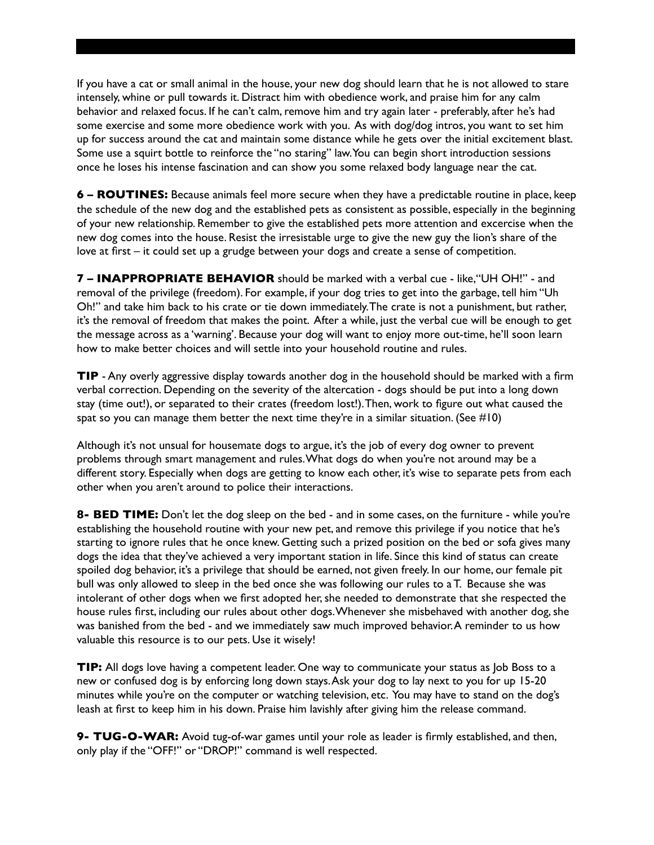If you have a cat or small animal in the house, your new dog should learn that he is not allowed to stare intensely, whine or pull towards it. Distract him with obedience work, and praise him for any calm behavior and relaxed focus. If he can't calm, remove him and try again later - preferably, after he's had some exercise and some more obedience work with you. As with dog/dog intros, you want to set him up for success around the cat and maintain some distance while he gets over the initial excitement blast. Some use a squirt bottle to reinforce the "no staring" law. You can begin short introduction sessions once he loses his intense fascination and can show you some relaxed body language near the cat.

**6 – ROUTINES:** Because animals feel more secure when they have a predictable routine in place, keep the schedule of the new dog and the established pets as consistent as possible, especially in the beginning of your new relationship. Remember to give the established pets more attention and excercise when the new dog comes into the house. Resist the irresistable urge to give the new guy the lion's share of the love at first – it could set up a grudge between your dogs and create a sense of competition.

**7 – INAPPROPRIATE BEHAVIOR** should be marked with a verbal cue - like, "UH OH!" - and removal of the privilege (freedom). For example, if your dog tries to get into the garbage, tell him "Uh Oh!" and take him back to his crate or tie down immediately. The crate is not a punishment, but rather, it's the removal of freedom that makes the point. After a while, just the verbal cue will be enough to get the message across as a 'warning'. Because your dog will want to enjoy more out-time, he'll soon learn how to make better choices and will settle into your household routine and rules.

**TIP** - Any overly aggressive display towards another dog in the household should be marked with a firm verbal correction. Depending on the severity of the altercation - dogs should be put into a long down stay (time out!), or separated to their crates (freedom lost!). Then, work to figure out what caused the spat so you can manage them better the next time they're in a similar situation. (See  $\#10$ )

Although it's not unsual for housemate dogs to argue, it's the job of every dog owner to prevent problems through smart management and rules. What dogs do when you're not around may be a different story. Especially when dogs are getting to know each other, it's wise to separate pets from each other when you aren't around to police their interactions.

**8- BED TIME:** Don't let the dog sleep on the bed - and in some cases, on the furniture - while you're establishing the household routine with your new pet, and remove this privilege if you notice that he's starting to ignore rules that he once knew. Getting such a prized position on the bed or sofa gives many dogs the idea that they've achieved a very important station in life. Since this kind of status can create spoiled dog behavior, it's a privilege that should be earned, not given freely. In our home, our female pit bull was only allowed to sleep in the bed once she was following our rules to a T. Because she was intolerant of other dogs when we first adopted her, she needed to demonstrate that she respected the house rules first, including our rules about other dogs. Whenever she misbehaved with another dog, she was banished from the bed - and we immediately saw much improved behavior. A reminder to us how valuable this resource is to our pets. Use it wisely!

**TIP:** All dogs love having a competent leader. One way to communicate your status as Job Boss to a new or confused dog is by enforcing long down stays. Ask your dog to lay next to you for up 15-20 minutes while you're on the computer or watching television, etc. You may have to stand on the dog's leash at first to keep him in his down. Praise him lavishly after giving him the release command.

**9- TUG-O-WAR:** Avoid tug-of-war games until your role as leader is firmly established, and then, only play if the "OFF!" or "DROP!" command is well respected.